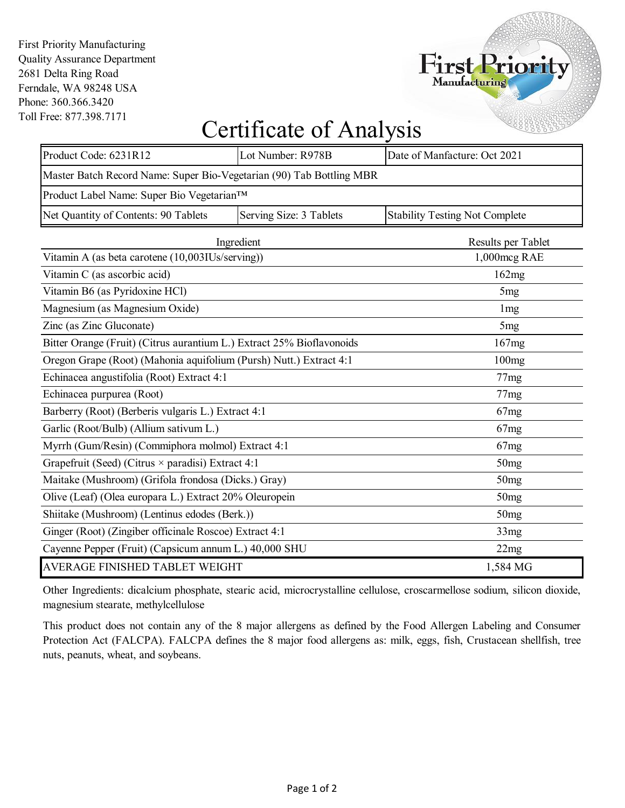First Priority Manufacturing Quality Assurance Department 2681 Delta Ring Road Ferndale, WA 98248 USA Phone: 360.366.3420 Toll Free: 877.398.7171



## Certificate of Analysis

| Product Code: 6231R12                                                 | Lot Number: R978B       | Date of Manfacture: Oct 2021          |  |  |
|-----------------------------------------------------------------------|-------------------------|---------------------------------------|--|--|
| Master Batch Record Name: Super Bio-Vegetarian (90) Tab Bottling MBR  |                         |                                       |  |  |
| Product Label Name: Super Bio Vegetarian™                             |                         |                                       |  |  |
|                                                                       |                         |                                       |  |  |
| Net Quantity of Contents: 90 Tablets                                  | Serving Size: 3 Tablets | <b>Stability Testing Not Complete</b> |  |  |
| Ingredient                                                            | Results per Tablet      |                                       |  |  |
| Vitamin A (as beta carotene (10,003IUs/serving))                      |                         | 1,000mcg RAE                          |  |  |
| Vitamin C (as ascorbic acid)                                          |                         | 162mg                                 |  |  |
| Vitamin B6 (as Pyridoxine HCl)                                        | 5 <sub>mg</sub>         |                                       |  |  |
| Magnesium (as Magnesium Oxide)                                        |                         | 1 <sub>mg</sub>                       |  |  |
| Zinc (as Zinc Gluconate)                                              | 5 <sub>mg</sub>         |                                       |  |  |
| Bitter Orange (Fruit) (Citrus aurantium L.) Extract 25% Bioflavonoids | 167mg                   |                                       |  |  |
| Oregon Grape (Root) (Mahonia aquifolium (Pursh) Nutt.) Extract 4:1    | 100mg                   |                                       |  |  |
| Echinacea angustifolia (Root) Extract 4:1                             | 77mg                    |                                       |  |  |
| Echinacea purpurea (Root)                                             | 77mg                    |                                       |  |  |
| Barberry (Root) (Berberis vulgaris L.) Extract 4:1                    | 67mg                    |                                       |  |  |
| Garlic (Root/Bulb) (Allium sativum L.)                                |                         | 67mg                                  |  |  |
| Myrrh (Gum/Resin) (Commiphora molmol) Extract 4:1                     |                         | 67mg                                  |  |  |
| Grapefruit (Seed) (Citrus $\times$ paradisi) Extract 4:1              | 50mg                    |                                       |  |  |
| Maitake (Mushroom) (Grifola frondosa (Dicks.) Gray)                   | 50 <sub>mg</sub>        |                                       |  |  |
| Olive (Leaf) (Olea europara L.) Extract 20% Oleuropein                | 50mg                    |                                       |  |  |
| Shiitake (Mushroom) (Lentinus edodes (Berk.))                         | 50 <sub>mg</sub>        |                                       |  |  |
| Ginger (Root) (Zingiber officinale Roscoe) Extract 4:1                | 33mg                    |                                       |  |  |
| Cayenne Pepper (Fruit) (Capsicum annum L.) 40,000 SHU                 | 22mg                    |                                       |  |  |
| AVERAGE FINISHED TABLET WEIGHT                                        |                         | 1,584 MG                              |  |  |

Other Ingredients: dicalcium phosphate, stearic acid, microcrystalline cellulose, croscarmellose sodium, silicon dioxide, magnesium stearate, methylcellulose

This product does not contain any of the 8 major allergens as defined by the Food Allergen Labeling and Consumer Protection Act (FALCPA). FALCPA defines the 8 major food allergens as: milk, eggs, fish, Crustacean shellfish, tree nuts, peanuts, wheat, and soybeans.